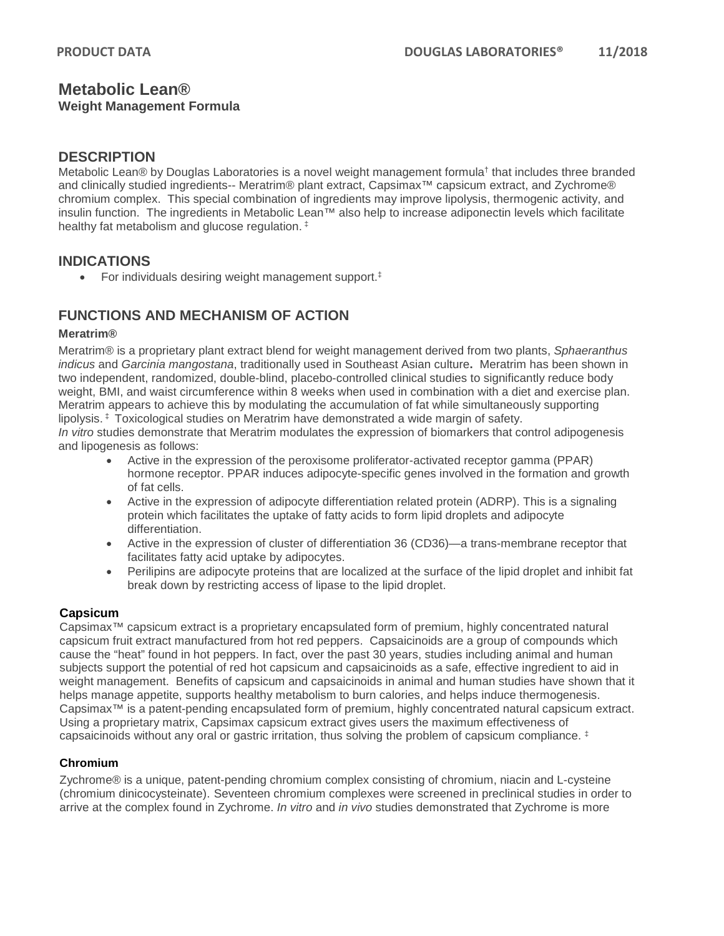### **Metabolic Lean® Weight Management Formula**

### **DESCRIPTION**

Metabolic Lean® by Douglas Laboratories is a novel weight management formula<sup>†</sup> that includes three branded and clinically studied ingredients-- Meratrim® plant extract, Capsimax™ capsicum extract, and Zychrome® chromium complex. This special combination of ingredients may improve lipolysis, thermogenic activity, and insulin function. The ingredients in Metabolic Lean™ also help to increase adiponectin levels which facilitate healthy fat metabolism and glucose regulation. ‡

### **INDICATIONS**

• For individuals desiring weight management support.<sup>‡</sup>

# **FUNCTIONS AND MECHANISM OF ACTION**

#### **Meratrim®**

Meratrim® is a proprietary plant extract blend for weight management derived from two plants, *Sphaeranthus indicus* and *Garcinia mangostana*, traditionally used in Southeast Asian culture**.** Meratrim has been shown in two independent, randomized, double-blind, placebo-controlled clinical studies to significantly reduce body weight, BMI, and waist circumference within 8 weeks when used in combination with a diet and exercise plan. Meratrim appears to achieve this by modulating the accumulation of fat while simultaneously supporting lipolysis. ‡ Toxicological studies on Meratrim have demonstrated a wide margin of safety.

*In vitro* studies demonstrate that Meratrim modulates the expression of biomarkers that control adipogenesis and lipogenesis as follows:

- Active in the expression of the peroxisome proliferator-activated receptor gamma (PPAR) hormone receptor. PPAR induces adipocyte-specific genes involved in the formation and growth of fat cells.
- Active in the expression of adipocyte differentiation related protein (ADRP). This is a signaling protein which facilitates the uptake of fatty acids to form lipid droplets and adipocyte differentiation.
- Active in the expression of cluster of differentiation 36 (CD36)—a trans-membrane receptor that facilitates fatty acid uptake by adipocytes.
- Perilipins are adipocyte proteins that are localized at the surface of the lipid droplet and inhibit fat break down by restricting access of lipase to the lipid droplet.

### **Capsicum**

Capsimax™ capsicum extract is a proprietary encapsulated form of premium, highly concentrated natural capsicum fruit extract manufactured from hot red peppers. Capsaicinoids are a group of compounds which cause the "heat" found in hot peppers. In fact, over the past 30 years, studies including animal and human subjects support the potential of red hot capsicum and capsaicinoids as a safe, effective ingredient to aid in weight management. Benefits of capsicum and capsaicinoids in animal and human studies have shown that it helps manage appetite, supports healthy metabolism to burn calories, and helps induce thermogenesis. Capsimax™ is a patent-pending encapsulated form of premium, highly concentrated natural capsicum extract. Using a proprietary matrix, Capsimax capsicum extract gives users the maximum effectiveness of capsaicinoids without any oral or gastric irritation, thus solving the problem of capsicum compliance.  $\pm$ 

#### **Chromium**

Zychrome® is a unique, patent-pending chromium complex consisting of chromium, niacin and L-cysteine (chromium dinicocysteinate). Seventeen chromium complexes were screened in preclinical studies in order to arrive at the complex found in Zychrome. *In vitro* and *in vivo* studies demonstrated that Zychrome is more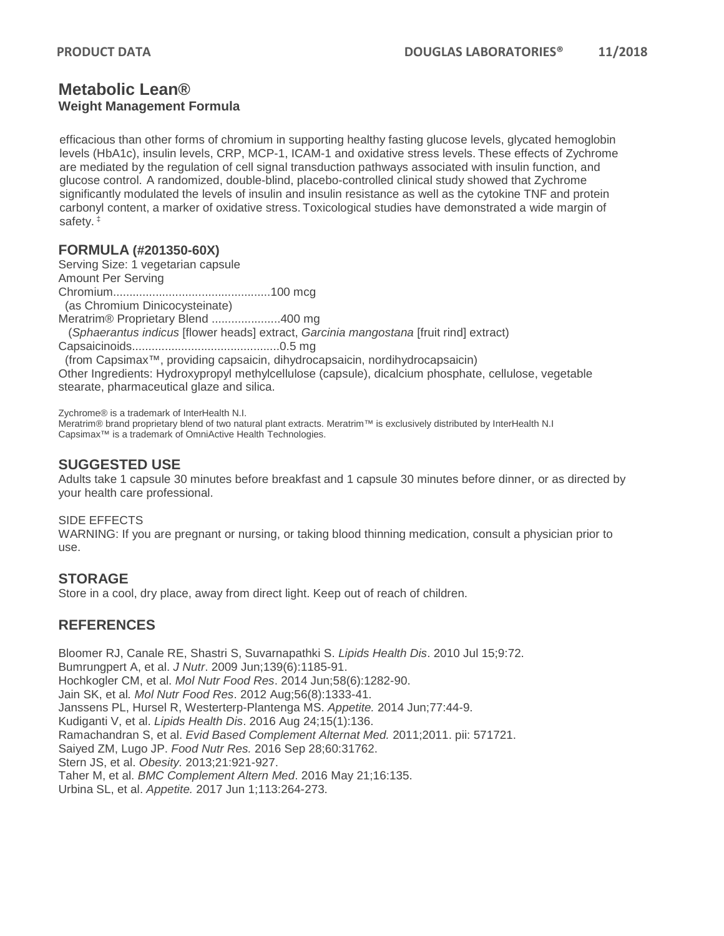### **Metabolic Lean® Weight Management Formula**

efficacious than other forms of chromium in supporting healthy fasting glucose levels, glycated hemoglobin levels (HbA1c), insulin levels, CRP, MCP-1, ICAM-1 and oxidative stress levels. These effects of Zychrome are mediated by the regulation of cell signal transduction pathways associated with insulin function, and glucose control. A randomized, double-blind, placebo-controlled clinical study showed that Zychrome significantly modulated the levels of insulin and insulin resistance as well as the cytokine TNF and protein carbonyl content, a marker of oxidative stress. Toxicological studies have demonstrated a wide margin of safety. ‡

### **FORMULA (#201350-60X)**

Serving Size: 1 vegetarian capsule Amount Per Serving Chromium................................................100 mcg (as Chromium Dinicocysteinate) Meratrim® Proprietary Blend .....................400 mg (*Sphaerantus indicus* [flower heads] extract, *Garcinia mangostana* [fruit rind] extract) Capsaicinoids.............................................0.5 mg (from Capsimax™, providing capsaicin, dihydrocapsaicin, nordihydrocapsaicin) Other Ingredients: Hydroxypropyl methylcellulose (capsule), dicalcium phosphate, cellulose, vegetable stearate, pharmaceutical glaze and silica.

Zychrome® is a trademark of InterHealth N.I.

Meratrim® brand proprietary blend of two natural plant extracts. Meratrim™ is exclusively distributed by InterHealth N.I Capsimax™ is a trademark of OmniActive Health Technologies.

# **SUGGESTED USE**

Adults take 1 capsule 30 minutes before breakfast and 1 capsule 30 minutes before dinner, or as directed by your health care professional.

#### SIDE EFFECTS

WARNING: If you are pregnant or nursing, or taking blood thinning medication, consult a physician prior to use.

# **STORAGE**

Store in a cool, dry place, away from direct light. Keep out of reach of children.

# **REFERENCES**

Bloomer RJ, Canale RE, Shastri S, Suvarnapathki S. *Lipids Health Dis*. 2010 Jul 15;9:72. Bumrungpert A, et al. *J Nutr*. 2009 Jun;139(6):1185-91. Hochkogler CM, et al. *Mol Nutr Food Res*. 2014 Jun;58(6):1282-90. Jain SK, et al*. Mol Nutr Food Res*. 2012 Aug;56(8):1333-41. Janssens PL, Hursel R, Westerterp-Plantenga MS. *Appetite.* 2014 Jun;77:44-9. Kudiganti V, et al. *Lipids Health Dis*. 2016 Aug 24;15(1):136. Ramachandran S, et al. *Evid Based Complement Alternat Med.* 2011;2011. pii: 571721. Saiyed ZM, Lugo JP. *Food Nutr Res.* 2016 Sep 28;60:31762. Stern JS, et al. *Obesity.* 2013;21:921-927. Taher M, et al. *BMC Complement Altern Med*. 2016 May 21;16:135. Urbina SL, et al. *Appetite.* 2017 Jun 1;113:264-273.